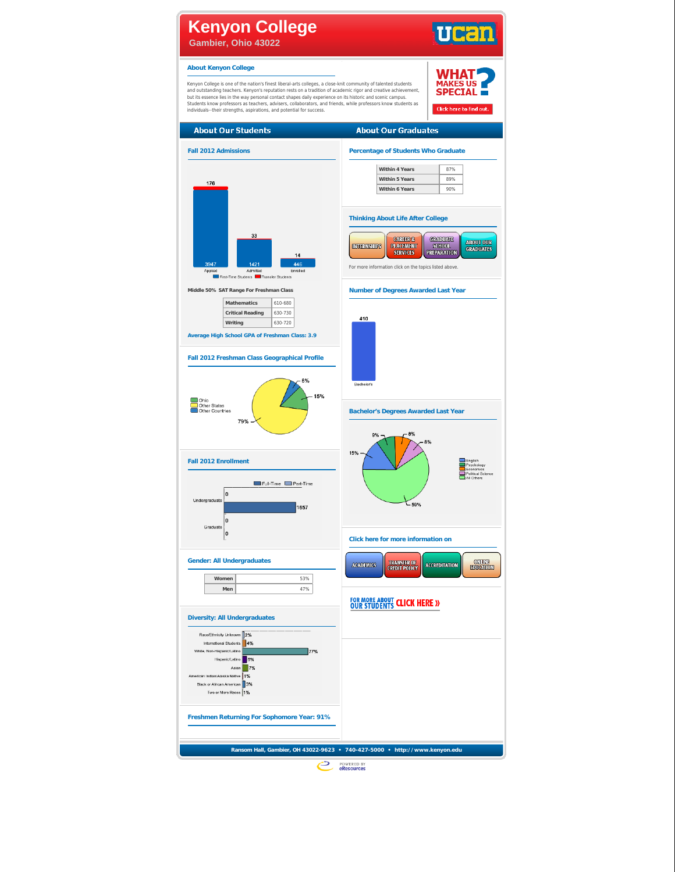